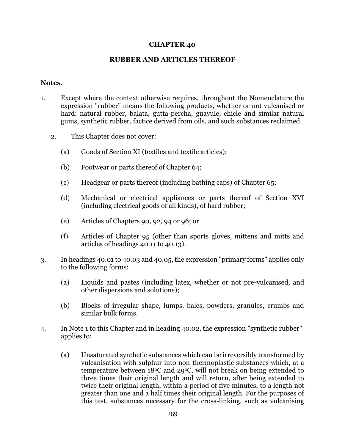## **CHAPTER 40**

## **RUBBER AND ARTICLES THEREOF**

## **Notes.**

- 1. Except where the context otherwise requires, throughout the Nomenclature the expression "rubber" means the following products, whether or not vulcanised or hard: natural rubber, balata, gutta-percha, guayule, chicle and similar natural gums, synthetic rubber, factice derived from oils, and such substances reclaimed.
	- 2. This Chapter does not cover:
		- (a) Goods of Section XI (textiles and textile articles);
		- (b) Footwear or parts thereof of Chapter 64;
		- (c) Headgear or parts thereof (including bathing caps) of Chapter 65;
		- (d) Mechanical or electrical appliances or parts thereof of Section XVI (including electrical goods of all kinds), of hard rubber;
		- (e) Articles of Chapters 90, 92, 94 or 96; or
		- (f) Articles of Chapter 95 (other than sports gloves, mittens and mitts and articles of headings 40.11 to 40.13).
- 3. In headings 40.01 to 40.03 and 40.05, the expression "primary forms" applies only to the following forms:
	- (a) Liquids and pastes (including latex, whether or not pre-vulcanised, and other dispersions and solutions);
	- (b) Blocks of irregular shape, lumps, bales, powders, granules, crumbs and similar bulk forms.
- 4. In Note 1 to this Chapter and in heading 40.02, the expression "synthetic rubber" applies to:
	- (a) Unsaturated synthetic substances which can be irreversibly transformed by vulcanisation with sulphur into non-thermoplastic substances which, at a temperature between  $18^{\circ}$ C and  $29^{\circ}$ C, will not break on being extended to three times their original length and will return, after being extended to twice their original length, within a period of five minutes, to a length not greater than one and a half times their original length. For the purposes of this test, substances necessary for the cross-linking, such as vulcanising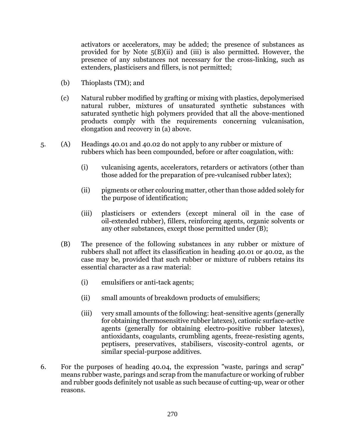activators or accelerators, may be added; the presence of substances as provided for by Note 5(B)(ii) and (iii) is also permitted. However, the presence of any substances not necessary for the cross-linking, such as extenders, plasticisers and fillers, is not permitted;

- (b) Thioplasts (TM); and
- (c) Natural rubber modified by grafting or mixing with plastics, depolymerised natural rubber, mixtures of unsaturated synthetic substances with saturated synthetic high polymers provided that all the above-mentioned products comply with the requirements concerning vulcanisation, elongation and recovery in (a) above.
- 5. (A) Headings 40.01 and 40.02 do not apply to any rubber or mixture of rubbers which has been compounded, before or after coagulation, with:
	- (i) vulcanising agents, accelerators, retarders or activators (other than those added for the preparation of pre-vulcanised rubber latex);
	- (ii) pigments or other colouring matter, other than those added solely for the purpose of identification;
	- (iii) plasticisers or extenders (except mineral oil in the case of oil-extended rubber), fillers, reinforcing agents, organic solvents or any other substances, except those permitted under (B);
	- (B) The presence of the following substances in any rubber or mixture of rubbers shall not affect its classification in heading 40.01 or 40.02, as the case may be, provided that such rubber or mixture of rubbers retains its essential character as a raw material:
		- (i) emulsifiers or anti-tack agents;
		- (ii) small amounts of breakdown products of emulsifiers;
		- (iii) very small amounts of the following: heat-sensitive agents (generally for obtaining thermosensitive rubber latexes), cationic surface-active agents (generally for obtaining electro-positive rubber latexes), antioxidants, coagulants, crumbling agents, freeze-resisting agents, peptisers, preservatives, stabilisers, viscosity-control agents, or similar special-purpose additives.
- 6. For the purposes of heading 40.04, the expression "waste, parings and scrap" means rubber waste, parings and scrap from the manufacture or working of rubber and rubber goods definitely not usable as such because of cutting-up, wear or other reasons.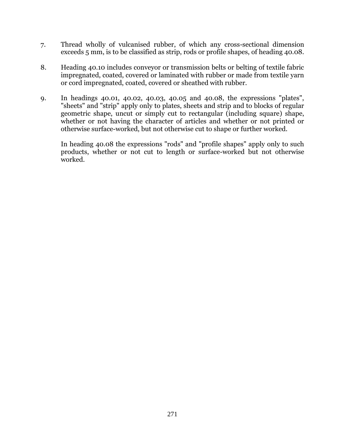- 7. Thread wholly of vulcanised rubber, of which any cross-sectional dimension exceeds 5 mm, is to be classified as strip, rods or profile shapes, of heading 40.08.
- 8. Heading 40.10 includes conveyor or transmission belts or belting of textile fabric impregnated, coated, covered or laminated with rubber or made from textile yarn or cord impregnated, coated, covered or sheathed with rubber.
- 9. In headings 40.01, 40.02, 40.03, 40.05 and 40.08, the expressions "plates", "sheets" and "strip" apply only to plates, sheets and strip and to blocks of regular geometric shape, uncut or simply cut to rectangular (including square) shape, whether or not having the character of articles and whether or not printed or otherwise surface-worked, but not otherwise cut to shape or further worked.

In heading 40.08 the expressions "rods" and "profile shapes" apply only to such products, whether or not cut to length or surface-worked but not otherwise worked.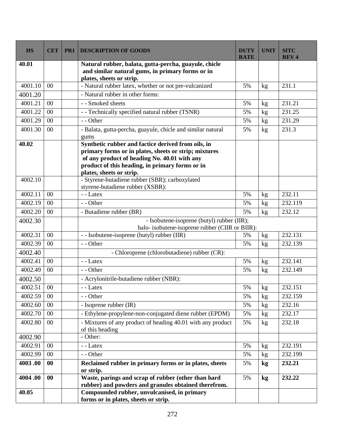| <b>HS</b> | <b>CET</b>     | PR <sub>1</sub> | <b>DESCRIPTION OF GOODS</b>                                                                                                                              | <b>DUTY</b><br><b>RATE</b> | <b>UNIT</b> | <b>SITC</b><br><b>REV4</b> |
|-----------|----------------|-----------------|----------------------------------------------------------------------------------------------------------------------------------------------------------|----------------------------|-------------|----------------------------|
| 40.01     |                |                 | Natural rubber, balata, gutta-percha, guayule, chicle<br>and similar natural gums, in primary forms or in<br>plates, sheets or strip.                    |                            |             |                            |
| 4001.10   | $00\,$         |                 | - Natural rubber latex, whether or not pre-vulcanized                                                                                                    | 5%                         | kg          | 231.1                      |
| 4001.20   |                |                 | - Natural rubber in other forms:                                                                                                                         |                            |             |                            |
| 4001.21   | $00\,$         |                 | - - Smoked sheets                                                                                                                                        | 5%                         | kg          | 231.21                     |
| 4001.22   | 00             |                 | - - Technically specified natural rubber (TSNR)                                                                                                          | 5%                         | kg          | 231.25                     |
| 4001.29   | $00\,$         |                 | - - Other                                                                                                                                                | 5%                         | kg          | 231.29                     |
| 4001.30   | $00\,$         |                 | - Balata, gutta-percha, guayule, chicle and similar natural<br>gums                                                                                      | 5%                         | kg          | 231.3                      |
| 40.02     |                |                 | Synthetic rubber and factice derived from oils, in                                                                                                       |                            |             |                            |
|           |                |                 | primary forms or in plates, sheets or strip; mixtures<br>of any product of heading No. 40.01 with any<br>product of this heading, in primary forms or in |                            |             |                            |
|           |                |                 | plates, sheets or strip.                                                                                                                                 |                            |             |                            |
| 4002.10   |                |                 | - Styrene-butadiene rubber (SBR); carboxylated<br>styrene-butadiene rubber (XSBR):                                                                       |                            |             |                            |
| 4002.11   | 00             |                 | - - Latex                                                                                                                                                | 5%                         | kg          | 232.11                     |
| 4002.19   | 00             |                 | - - Other                                                                                                                                                | 5%                         | kg          | 232.119                    |
| 4002.20   | $00\,$         |                 | - Butadiene rubber (BR)                                                                                                                                  | 5%                         | kg          | 232.12                     |
| 4002.30   |                |                 | - Isobutene-isoprene (butyl) rubber (IIR);                                                                                                               |                            |             |                            |
|           |                |                 | halo- isobutene-isoprene rubber (CIIR or BIIR):                                                                                                          |                            |             |                            |
| 4002.31   | $00\,$         |                 | - - Isobutene-isoprene (butyl) rubber (IIR)                                                                                                              | 5%                         | kg          | 232.131                    |
| 4002.39   | 00             |                 | - - Other                                                                                                                                                | 5%                         | kg          | 232.139                    |
| 4002.40   |                |                 | - Chloroprene (chlorobutadiene) rubber (CR):                                                                                                             |                            |             |                            |
| 4002.41   | 0 <sub>0</sub> |                 | $-$ - Latex                                                                                                                                              | 5%                         | kg          | 232.141                    |
| 4002.49   | 00             |                 | - - Other                                                                                                                                                | 5%                         | kg          | 232.149                    |
| 4002.50   |                |                 | - Acrylonitrile-butadiene rubber (NBR):                                                                                                                  |                            |             |                            |
| 4002.51   | 00             |                 | - - Latex                                                                                                                                                | 5%                         | kg          | 232.151                    |
| 4002.59   | $00\,$         |                 | - - Other                                                                                                                                                | 5%                         | kg          | 232.159                    |
| 4002.60   | 00             |                 | - Isoprene rubber (IR)                                                                                                                                   | 5%                         | kg          | 232.16                     |
| 4002.70   | $00\,$         |                 | - Ethylene-propylene-non-conjugated diene rubber (EPDM)                                                                                                  | 5%                         | kg          | 232.17                     |
| 4002.80   | $00\,$         |                 | - Mixtures of any product of heading 40.01 with any product<br>of this heading                                                                           | 5%                         | kg          | 232.18                     |
| 4002.90   |                |                 | - Other:                                                                                                                                                 |                            |             |                            |
| 4002.91   | $00\,$         |                 | - - Latex                                                                                                                                                | 5%                         | kg          | 232.191                    |
| 4002.99   | $00\,$         |                 | - - Other                                                                                                                                                | 5%                         | kg          | 232.199                    |
| 4003.00   | $\bf{00}$      |                 | Reclaimed rubber in primary forms or in plates, sheets<br>or strip.                                                                                      | 5%                         | kg          | 232.21                     |
| 4004.00   | 00             |                 | Waste, parings and scrap of rubber (other than hard                                                                                                      | 5%                         | kg          | 232.22                     |
|           |                |                 | rubber) and powders and granules obtained therefrom.                                                                                                     |                            |             |                            |
| 40.05     |                |                 | Compounded rubber, unvulcanised, in primary<br>forms or in plates, sheets or strip.                                                                      |                            |             |                            |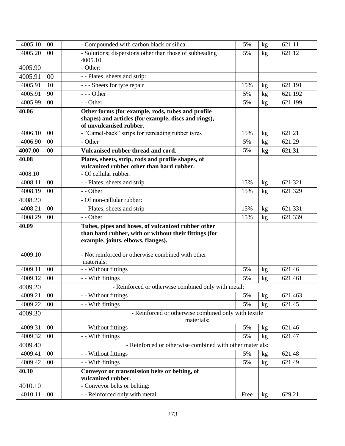| $\overline{4005.10}$ | 00     | - Compounded with carbon black or silica                                                                                                          | 5%  | kg | 621.11  |
|----------------------|--------|---------------------------------------------------------------------------------------------------------------------------------------------------|-----|----|---------|
| 4005.20              | 00     | - Solutions; dispersions other than those of subheading<br>4005.10                                                                                | 5%  | kg | 621.12  |
| 4005.90              |        | - Other:                                                                                                                                          |     |    |         |
| 4005.91              | 00     | - - Plates, sheets and strip:                                                                                                                     |     |    |         |
| 4005.91              | 10     | - - - Sheets for tyre repair                                                                                                                      | 15% | kg | 621.191 |
| 4005.91              | 90     | $--$ Other                                                                                                                                        | 5%  | kg | 621.192 |
| 4005.99              | 00     | $-$ - Other                                                                                                                                       | 5%  | kg | 621.199 |
| 40.06                |        | Other forms (for example, rods, tubes and profile                                                                                                 |     |    |         |
|                      |        | shapes) and articles (for example, discs and rings),                                                                                              |     |    |         |
| 4006.10              | 00     | of unvulcanised rubber.<br>- "Camel-back" strips for retreading rubber tyres                                                                      | 15% | kg | 621.21  |
| 4006.90              | $00\,$ | - Other                                                                                                                                           | 5%  |    | 621.29  |
| 4007.00              | 00     | Vulcanised rubber thread and cord.                                                                                                                | 5%  | kg | 621.31  |
|                      |        |                                                                                                                                                   |     | kg |         |
| 40.08                |        | Plates, sheets, strip, rods and profile shapes, of<br>vulcanized rubber other than hard rubber.                                                   |     |    |         |
| 4008.10              |        | - Of cellular rubber:                                                                                                                             |     |    |         |
| 4008.11              | 00     | - - Plates, sheets and strip                                                                                                                      | 15% | kg | 621.321 |
| 4008.19              | 00     | - - Other                                                                                                                                         | 15% | kg | 621.329 |
| 4008.20              |        | - Of non-cellular rubber:                                                                                                                         |     |    |         |
| 4008.21              | 00     | - - Plates, sheets and strip                                                                                                                      | 15% | kg | 621.331 |
| 4008.29              | 00     | - - Other                                                                                                                                         | 15% | kg | 621.339 |
|                      |        |                                                                                                                                                   |     |    |         |
| 40.09                |        | Tubes, pipes and hoses, of vulcanized rubber other<br>than hard rubber, with or without their fittings (for<br>example, joints, elbows, flanges). |     |    |         |
| 4009.10              |        | - Not reinforced or otherwise combined with other<br>materials:                                                                                   |     |    |         |
| 4009.11              | 00     | - - Without fittings                                                                                                                              | 5%  | kg | 621.46  |
| 4009.12              | 00     | - With fittings                                                                                                                                   | 5%  | kg | 621.461 |
| 4009.20              |        | - Reinforced or otherwise combined only with metal:                                                                                               |     |    |         |
| 4009.21              | $00\,$ | - - Without fittings                                                                                                                              | 5%  | kg | 621.463 |
| 4009.22              | 00     | - - With fittings                                                                                                                                 | 5%  | kg | 621.45  |
| 4009.30              |        | - Reinforced or otherwise combined only with textile                                                                                              |     |    |         |
| 4009.31              | $00\,$ | materials:<br>- - Without fittings                                                                                                                | 5%  | kg | 621.46  |
| 4009.32              | $00\,$ | - - With fittings                                                                                                                                 | 5%  | kg | 621.47  |
| 4009.40              |        | - Reinforced or otherwise combined with other materials:                                                                                          |     |    |         |
| 4009.41              | 00     | - - Without fittings                                                                                                                              | 5%  | kg | 621.48  |
| 4009.42              | $00\,$ | - - With fittings                                                                                                                                 | 5%  | kg | 621.49  |
| 40.10                |        | Conveyor or transmission belts or belting, of                                                                                                     |     |    |         |
| 4010.10              |        | vulcanized rubber.<br>- Conveyor belts or belting:                                                                                                |     |    |         |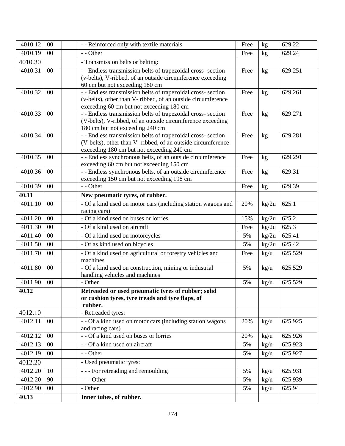| 4010.12 | $00\,$ | - - Reinforced only with textile materials                                                                                 | Free | kg            | 629.22  |
|---------|--------|----------------------------------------------------------------------------------------------------------------------------|------|---------------|---------|
| 4010.19 | 00     | - - Other                                                                                                                  | Free | kg            | 629.24  |
| 4010.30 |        | - Transmission belts or belting:                                                                                           |      |               |         |
| 4010.31 | 00     | - - Endless transmission belts of trapezoidal cross- section                                                               | Free | kg            | 629.251 |
|         |        | (v-belts), V-ribbed, of an outside circumference exceeding                                                                 |      |               |         |
|         |        | 60 cm but not exceeding 180 cm                                                                                             |      |               |         |
| 4010.32 | 00     | - - Endless transmission belts of trapezoidal cross- section                                                               | Free | kg            | 629.261 |
|         |        | (v-belts), other than V- ribbed, of an outside circumference                                                               |      |               |         |
|         |        | exceeding 60 cm but not exceeding 180 cm                                                                                   |      |               |         |
| 4010.33 | 00     | - - Endless transmission belts of trapezoidal cross- section<br>(V-belts), V-ribbed, of an outside circumference exceeding | Free | kg            | 629.271 |
|         |        | 180 cm but not exceeding 240 cm                                                                                            |      |               |         |
| 4010.34 | $00\,$ | - - Endless transmission belts of trapezoidal cross- section                                                               | Free | kg            | 629.281 |
|         |        | (V-belts), other than V- ribbed, of an outside circumference                                                               |      |               |         |
|         |        | exceeding 180 cm but not exceeding 240 cm                                                                                  |      |               |         |
| 4010.35 | $00\,$ | - - Endless synchronous belts, of an outside circumference                                                                 | Free | kg            | 629.291 |
|         |        | exceeding 60 cm but not exceeding 150 cm                                                                                   |      |               |         |
| 4010.36 | 00     | - - Endless synchronous belts, of an outside circumference                                                                 | Free | kg            | 629.31  |
|         |        | exceeding 150 cm but not exceeding 198 cm                                                                                  |      |               |         |
| 4010.39 | 00     | - - Other                                                                                                                  | Free | kg            | 629.39  |
| 40.11   |        | New pneumatic tyres, of rubber.                                                                                            |      |               |         |
| 4011.10 | $00\,$ | - Of a kind used on motor cars (including station wagons and                                                               | 20%  | kg/2u         | 625.1   |
|         |        | racing cars)                                                                                                               |      |               |         |
| 4011.20 | 00     | - Of a kind used on buses or lorries                                                                                       | 15%  | kg/2u         | 625.2   |
| 4011.30 | 00     | - Of a kind used on aircraft                                                                                               | Free | kg/2u         | 625.3   |
| 4011.40 | 00     | - Of a kind used on motorcycles                                                                                            | 5%   | kg/2u         | 625.41  |
| 4011.50 | 00     | - Of as kind used on bicycles                                                                                              | 5%   | kg/2u         | 625.42  |
| 4011.70 | 00     | - Of a kind used on agricultural or forestry vehicles and                                                                  | Free | kg/u          | 625.529 |
|         |        | machines                                                                                                                   |      |               |         |
| 4011.80 | 00     | - Of a kind used on construction, mining or industrial                                                                     | 5%   | kg/u          | 625.529 |
|         |        | handling vehicles and machines                                                                                             |      |               |         |
| 4011.90 | 00     | - Other                                                                                                                    | 5%   | kg/u          | 625.529 |
| 40.12   |        | Retreaded or used pneumatic tyres of rubber; solid                                                                         |      |               |         |
|         |        | or cushion tyres, tyre treads and tyre flaps, of<br>rubber.                                                                |      |               |         |
| 4012.10 |        | - Retreaded tyres:                                                                                                         |      |               |         |
| 4012.11 | $00\,$ | - - Of a kind used on motor cars (including station wagons                                                                 | 20%  | kg/u          | 625.925 |
|         |        | and racing cars)                                                                                                           |      |               |         |
| 4012.12 | $00\,$ | - - Of a kind used on buses or lorries                                                                                     | 20%  | kg/u          | 625.926 |
| 4012.13 | 00     | - - Of a kind used on aircraft                                                                                             | 5%   | kg/u          | 625.923 |
| 4012.19 | 00     | - - Other                                                                                                                  | 5%   | kg/u          | 625.927 |
| 4012.20 |        | - Used pneumatic tyres:                                                                                                    |      |               |         |
| 4012.20 | 10     | - - - For retreading and remoulding                                                                                        | 5%   | kg/u          | 625.931 |
| 4012.20 | 90     | --- Other                                                                                                                  | 5%   |               | 625.939 |
|         |        |                                                                                                                            |      | kg/u          |         |
| 4012.90 | $00\,$ | - Other                                                                                                                    | 5%   | $\text{kg/u}$ | 625.94  |
| 40.13   |        | Inner tubes, of rubber.                                                                                                    |      |               |         |